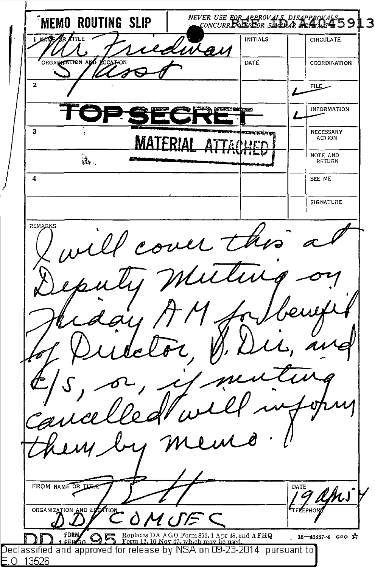**MEMO ROUTING SLIP** NEVER USE FOR APPROVALS DISAPPROVALS 5913 **INITIALS CIRCULATE** U I A R ORGANIZATION A DATE COORDINATION  $\overline{2}$  $FILE$ **INFORMATION**  $\overline{\mathbf{3}}$ NECESSARY **ACTION** NOTE AND งี้ส์<br>หนึ่ง : เ RETURN  $\overline{A}$ SEE ME SIGNATURE **REMARKS** ill cover the m FROM NAME OR TIME DATE am, **ORGANIZATION** AND Replaces DA AGO Form 835, 1 Apr 48, and AFHQ **FOR** 16-48487-4 GPO ☆ Declassified and approved for release by NSA on 09-23-2014 pursuant to E.O. 13526